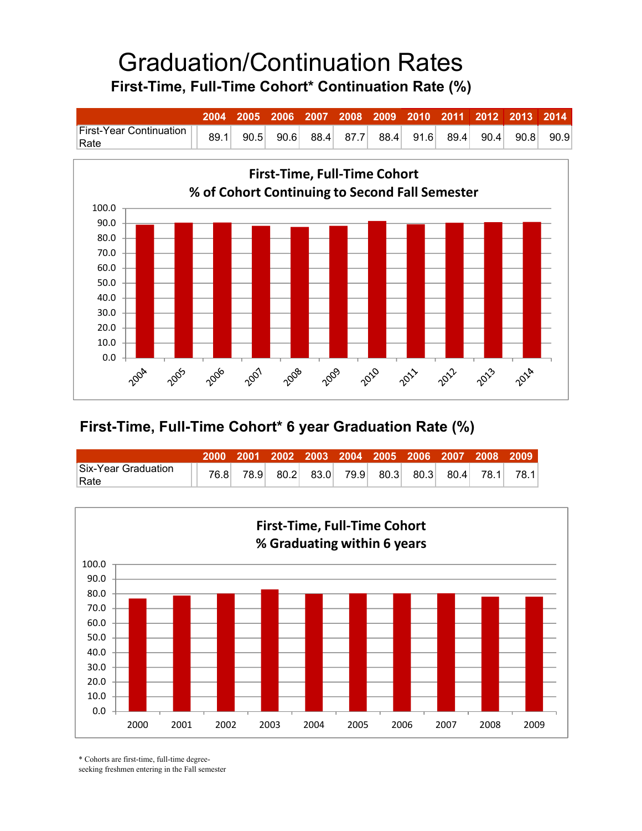## Graduation/Continuation Rates **First-Time, Full-Time Cohort\* Continuation Rate (%)**

|                                                 |  |             | 2004 2005 2006 2007 2008 2009 2010 2011 2012 2013 2014 |  |  |      |
|-------------------------------------------------|--|-------------|--------------------------------------------------------|--|--|------|
| rinst-Year Continuation    89.1    90 F<br>Rate |  | $90.5$ 90.6 | 88.4 87.7 88.4 91.6 89.4 90.4 90.8                     |  |  | 90.9 |



## **First-Time, Full-Time Cohort\* 6 year Graduation Rate (%)**

|                     |      | 2000 2001 2002 2003 2004 2005 2006 2007 2008 2009 |                                                  |  |  |      |
|---------------------|------|---------------------------------------------------|--------------------------------------------------|--|--|------|
| Six-Year Graduation | 76.8 | 78.9                                              | $80.2$ $83.0$ $79.9$ $80.3$ $80.3$ $80.4$ $78.1$ |  |  | 78.1 |
| Rate                |      |                                                   |                                                  |  |  |      |



\* Cohorts are first-time, full-time degree-

seeking freshmen entering in the Fall semester